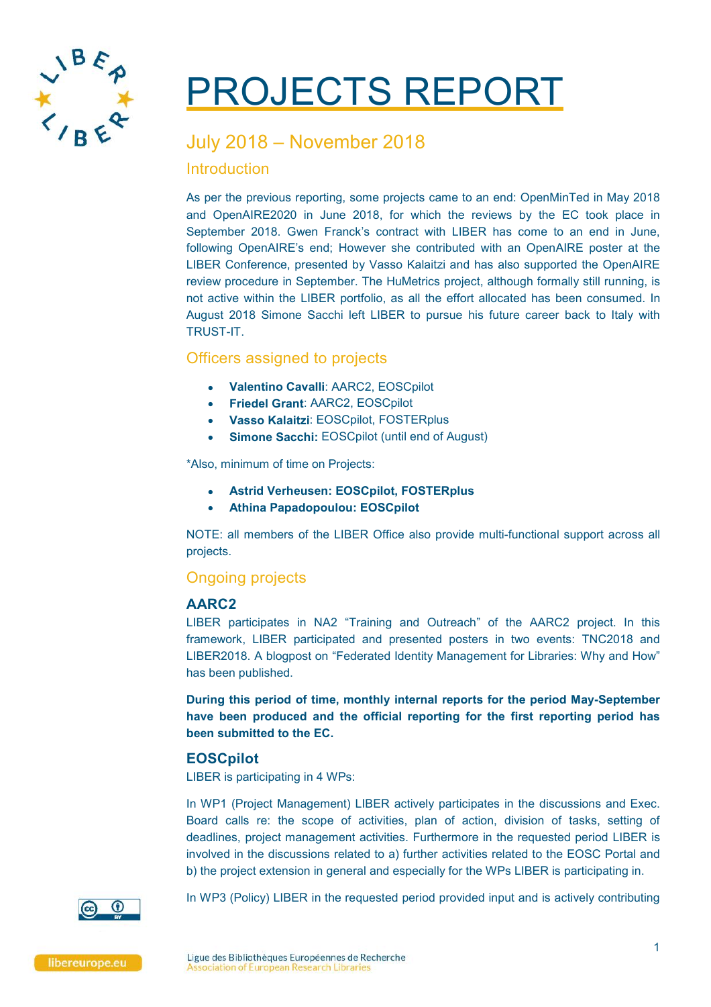

# PROJECTS REPORT

# July 2018 – November 2018

## Introduction

As per the previous reporting, some projects came to an end: OpenMinTed in May 2018 and OpenAIRE2020 in June 2018, for which the reviews by the EC took place in September 2018. Gwen Franck's contract with LIBER has come to an end in June, following OpenAIRE's end; However she contributed with an OpenAIRE poster at the LIBER Conference, presented by Vasso Kalaitzi and has also supported the OpenAIRE review procedure in September. The HuMetrics project, although formally still running, is not active within the LIBER portfolio, as all the effort allocated has been consumed. In August 2018 Simone Sacchi left LIBER to pursue his future career back to Italy with TRUST-IT.

# Officers assigned to projects

- **Valentino Cavalli**: AARC2, EOSCpilot
- **Friedel Grant**: AARC2, EOSCpilot
- **Vasso Kalaitzi**: EOSCpilot, FOSTERplus
- **Simone Sacchi:** EOSCpilot (until end of August)

\*Also, minimum of time on Projects:

- **Astrid Verheusen: EOSCpilot, FOSTERplus**
- **Athina Papadopoulou: EOSCpilot**

NOTE: all members of the LIBER Office also provide multi-functional support across all projects.

# Ongoing projects

## **AARC2**

LIBER participates in NA2 "Training and Outreach" of the AARC2 project. In this framework, LIBER participated and presented posters in two events: TNC2018 and LIBER2018. A blogpost on "Federated Identity Management for Libraries: Why and How" has been published.

**During this period of time, monthly internal reports for the period May-September have been produced and the official reporting for the first reporting period has been submitted to the EC.**

## **EOSCpilot**

LIBER is participating in 4 WPs:

In WP1 (Project Management) LIBER actively participates in the discussions and Exec. Board calls re: the scope of activities, plan of action, division of tasks, setting of deadlines, project management activities. Furthermore in the requested period LIBER is involved in the discussions related to a) further activities related to the EOSC Portal and b) the project extension in general and especially for the WPs LIBER is participating in.



In WP3 (Policy) LIBER in the requested period provided input and is actively contributing

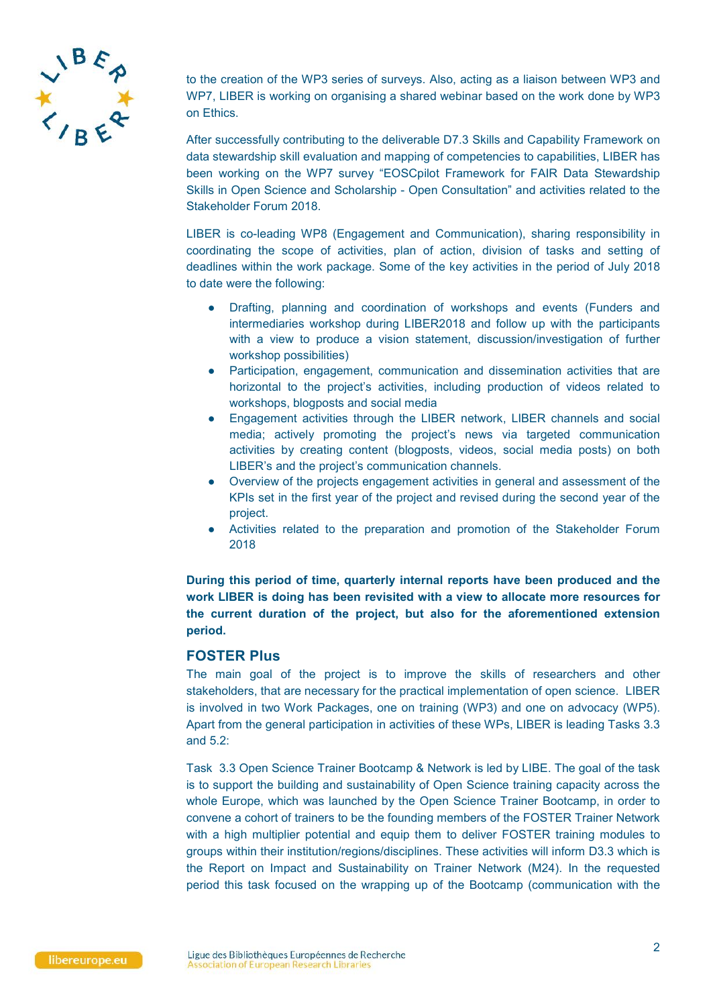

to the creation of the WP3 series of surveys. Also, acting as a liaison between WP3 and WP7, LIBER is working on organising a shared webinar based on the work done by WP3 on Ethics.

After successfully contributing to the deliverable D7.3 Skills and Capability Framework on data stewardship skill evaluation and mapping of competencies to capabilities, LIBER has been working on the WP7 survey "EOSCpilot Framework for FAIR Data Stewardship Skills in Open Science and Scholarship - Open Consultation" and activities related to the Stakeholder Forum 2018.

LIBER is co-leading WP8 (Engagement and Communication), sharing responsibility in coordinating the scope of activities, plan of action, division of tasks and setting of deadlines within the work package. Some of the key activities in the period of July 2018 to date were the following:

- Drafting, planning and coordination of workshops and events (Funders and intermediaries workshop during LIBER2018 and follow up with the participants with a view to produce a vision statement, discussion/investigation of further workshop possibilities)
- Participation, engagement, communication and dissemination activities that are horizontal to the project's activities, including production of videos related to workshops, blogposts and social media
- Engagement activities through the LIBER network, LIBER channels and social media; actively promoting the project's news via targeted communication activities by creating content (blogposts, videos, social media posts) on both LIBER's and the project's communication channels.
- Overview of the projects engagement activities in general and assessment of the KPIs set in the first year of the project and revised during the second year of the project.
- Activities related to the preparation and promotion of the Stakeholder Forum 2018

**During this period of time, quarterly internal reports have been produced and the work LIBER is doing has been revisited with a view to allocate more resources for the current duration of the project, but also for the aforementioned extension period.**

#### **FOSTER Plus**

The main goal of the project is to improve the skills of researchers and other stakeholders, that are necessary for the practical implementation of open science. LIBER is involved in two Work Packages, one on training (WP3) and one on advocacy (WP5). Apart from the general participation in activities of these WPs, LIBER is leading Tasks 3.3 and 5.2:

Task 3.3 Open Science Trainer Bootcamp & Network is led by LIBE. The goal of the task is to support the building and sustainability of Open Science training capacity across the whole Europe, which was launched by the Open Science Trainer Bootcamp, in order to convene a cohort of trainers to be the founding members of the FOSTER Trainer Network with a high multiplier potential and equip them to deliver FOSTER training modules to groups within their institution/regions/disciplines. These activities will inform D3.3 which is the Report on Impact and Sustainability on Trainer Network (M24). In the requested period this task focused on the wrapping up of the Bootcamp (communication with the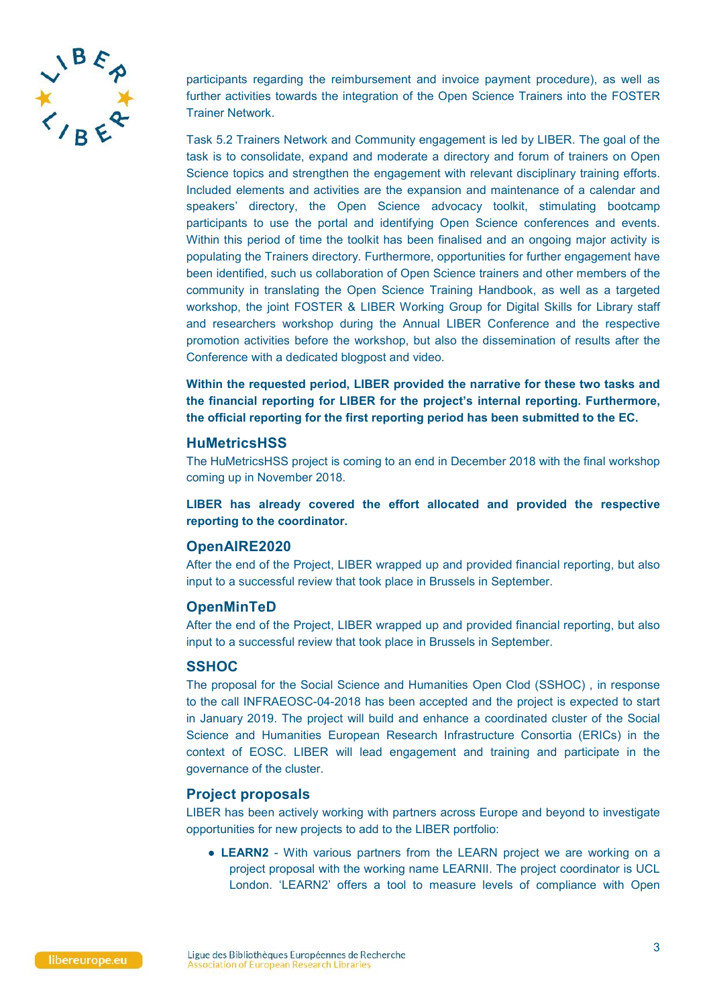

participants regarding the reimbursement and invoice payment procedure), as well as further activities towards the integration of the Open Science Trainers into the FOSTER Trainer Network.

Task 5.2 Trainers Network and Community engagement is led by LIBER. The goal of the task is to consolidate, expand and moderate a directory and forum of trainers on Open Science topics and strengthen the engagement with relevant disciplinary training efforts. Included elements and activities are the expansion and maintenance of a calendar and speakers' directory, the Open Science advocacy toolkit, stimulating bootcamp participants to use the portal and identifying Open Science conferences and events. Within this period of time the toolkit has been finalised and an ongoing major activity is populating the Trainers directory. Furthermore, opportunities for further engagement have been identified, such us collaboration of Open Science trainers and other members of the community in translating the Open Science Training Handbook, as well as a targeted workshop, the joint FOSTER & LIBER Working Group for Digital Skills for Library staff and researchers workshop during the Annual LIBER Conference and the respective promotion activities before the workshop, but also the dissemination of results after the Conference with a dedicated blogpost and video.

**Within the requested period, LIBER provided the narrative for these two tasks and the financial reporting for LIBER for the project's internal reporting. Furthermore, the official reporting for the first reporting period has been submitted to the EC.**

#### **HuMetricsHSS**

The HuMetricsHSS project is coming to an end in December 2018 with the final workshop coming up in November 2018.

**LIBER has already covered the effort allocated and provided the respective reporting to the coordinator.** 

#### **OpenAIRE2020**

After the end of the Project, LIBER wrapped up and provided financial reporting, but also input to a successful review that took place in Brussels in September.

#### **OpenMinTeD**

After the end of the Project, LIBER wrapped up and provided financial reporting, but also input to a successful review that took place in Brussels in September.

#### **SSHOC**

The proposal for the Social Science and Humanities Open Clod (SSHOC) , in response to the call INFRAEOSC-04-2018 has been accepted and the project is expected to start in January 2019. The project will build and enhance a coordinated cluster of the Social Science and Humanities European Research Infrastructure Consortia (ERICs) in the context of EOSC. LIBER will lead engagement and training and participate in the governance of the cluster.

#### **Project proposals**

LIBER has been actively working with partners across Europe and beyond to investigate opportunities for new projects to add to the LIBER portfolio:

• LEARN2 - With various partners from the LEARN project we are working on a project proposal with the working name LEARNII. The project coordinator is UCL London. 'LEARN2' offers a tool to measure levels of compliance with Open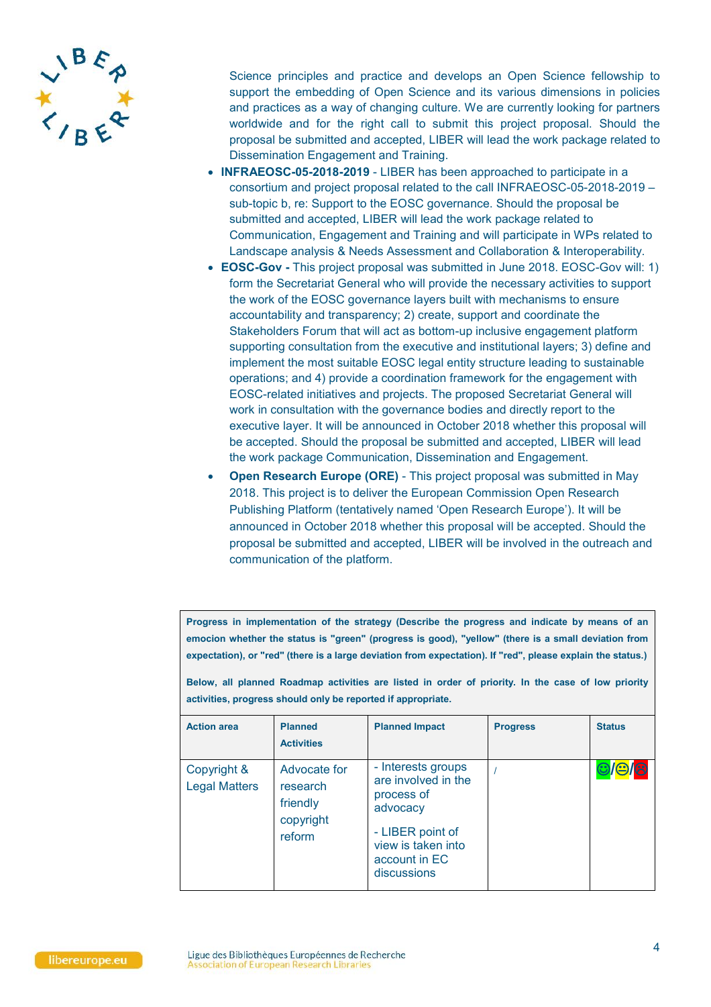

Science principles and practice and develops an Open Science fellowship to support the embedding of Open Science and its various dimensions in policies and practices as a way of changing culture. We are currently looking for partners worldwide and for the right call to submit this project proposal. Should the proposal be submitted and accepted, LIBER will lead the work package related to Dissemination Engagement and Training.

- **INFRAEOSC-05-2018-2019** LIBER has been approached to participate in a consortium and project proposal related to the call INFRAEOSC-05-2018-2019 – sub-topic b, re: Support to the EOSC governance. Should the proposal be submitted and accepted, LIBER will lead the work package related to Communication, Engagement and Training and will participate in WPs related to Landscape analysis & Needs Assessment and Collaboration & Interoperability.
- **EOSC-Gov -** This project proposal was submitted in June 2018. EOSC-Gov will: 1) form the Secretariat General who will provide the necessary activities to support the work of the EOSC governance layers built with mechanisms to ensure accountability and transparency; 2) create, support and coordinate the Stakeholders Forum that will act as bottom-up inclusive engagement platform supporting consultation from the executive and institutional layers; 3) define and implement the most suitable EOSC legal entity structure leading to sustainable operations; and 4) provide a coordination framework for the engagement with EOSC-related initiatives and projects. The proposed Secretariat General will work in consultation with the governance bodies and directly report to the executive layer. It will be announced in October 2018 whether this proposal will be accepted. Should the proposal be submitted and accepted, LIBER will lead the work package Communication, Dissemination and Engagement.
- **Open Research Europe (ORE)** This project proposal was submitted in May 2018. This project is to deliver the European Commission Open Research Publishing Platform (tentatively named 'Open Research Europe'). It will be announced in October 2018 whether this proposal will be accepted. Should the proposal be submitted and accepted, LIBER will be involved in the outreach and communication of the platform.

**Progress in implementation of the strategy (Describe the progress and indicate by means of an emocion whether the status is "green" (progress is good), "yellow" (there is a small deviation from expectation), or "red" (there is a large deviation from expectation). If "red", please explain the status.)**

**Below, all planned Roadmap activities are listed in order of priority. In the case of low priority activities, progress should only be reported if appropriate.**

| <b>Action area</b>                  | <b>Planned</b><br><b>Activities</b>                         | <b>Planned Impact</b>                                                                                                                         | <b>Progress</b> | <b>Status</b>              |
|-------------------------------------|-------------------------------------------------------------|-----------------------------------------------------------------------------------------------------------------------------------------------|-----------------|----------------------------|
| Copyright &<br><b>Legal Matters</b> | Advocate for<br>research<br>friendly<br>copyright<br>reform | - Interests groups<br>are involved in the<br>process of<br>advocacy<br>- LIBER point of<br>view is taken into<br>account in EC<br>discussions |                 | $\bigcirc$ / $\bigcirc$ /8 |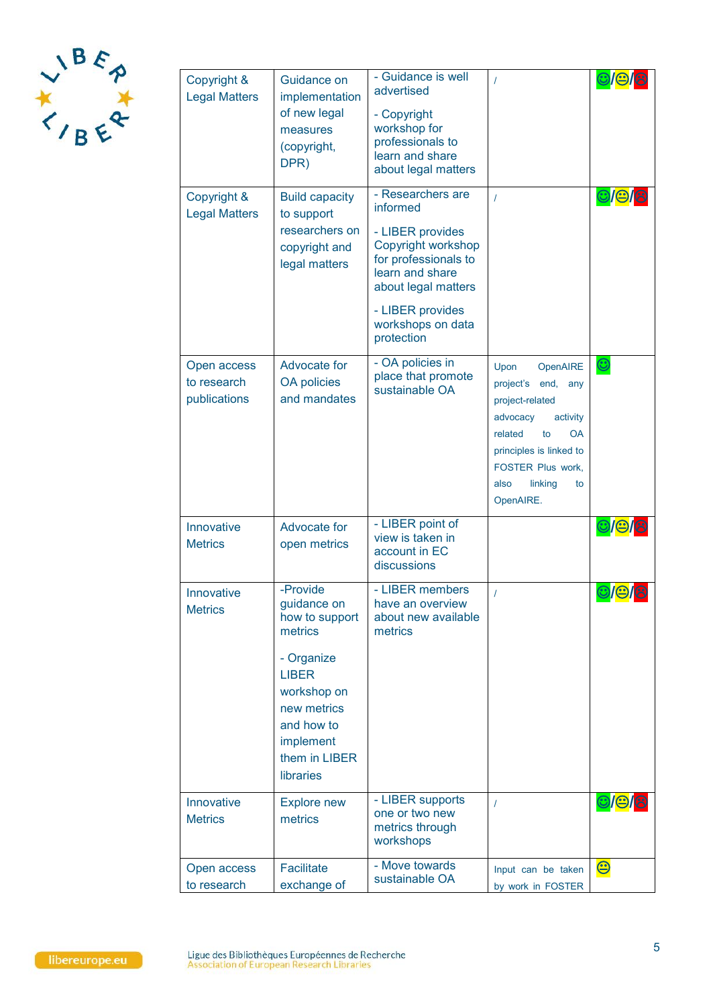

| Copyright &<br><b>Legal Matters</b>        | Guidance on<br>implementation<br>of new legal<br>measures<br>(copyright,<br>DPR)                                                                                          | - Guidance is well<br>advertised<br>- Copyright<br>workshop for<br>professionals to<br>learn and share<br>about legal matters                                                                    | $\prime$                                                                                                                                                                                              | 9/9                              |
|--------------------------------------------|---------------------------------------------------------------------------------------------------------------------------------------------------------------------------|--------------------------------------------------------------------------------------------------------------------------------------------------------------------------------------------------|-------------------------------------------------------------------------------------------------------------------------------------------------------------------------------------------------------|----------------------------------|
| Copyright &<br><b>Legal Matters</b>        | <b>Build capacity</b><br>to support<br>researchers on<br>copyright and<br>legal matters                                                                                   | - Researchers are<br>informed<br>- LIBER provides<br>Copyright workshop<br>for professionals to<br>learn and share<br>about legal matters<br>- LIBER provides<br>workshops on data<br>protection | $\prime$                                                                                                                                                                                              | $\bigcirc$ $\bigcirc$ $\bigcirc$ |
| Open access<br>to research<br>publications | Advocate for<br><b>OA policies</b><br>and mandates                                                                                                                        | - OA policies in<br>place that promote<br>sustainable OA                                                                                                                                         | Upon<br>OpenAIRE<br>project's end, any<br>project-related<br>activity<br>advocacy<br>related<br><b>OA</b><br>to<br>principles is linked to<br>FOSTER Plus work,<br>also<br>linking<br>to<br>OpenAIRE. | $\bm{\odot}$                     |
| Innovative<br><b>Metrics</b>               | Advocate for<br>open metrics                                                                                                                                              | - LIBER point of<br>view is taken in<br>account in EC<br>discussions                                                                                                                             |                                                                                                                                                                                                       | ©/©/8                            |
| Innovative<br><b>Metrics</b>               | -Provide<br>guidance on<br>how to support<br>metrics<br>- Organize<br><b>LIBER</b><br>workshop on<br>new metrics<br>and how to<br>implement<br>them in LIBER<br>libraries | - LIBER members<br>have an overview<br>about new available<br>metrics                                                                                                                            | $\prime$                                                                                                                                                                                              | <b>©/e/8</b>                     |
| Innovative<br><b>Metrics</b>               | <b>Explore new</b><br>metrics                                                                                                                                             | - LIBER supports<br>one or two new<br>metrics through<br>workshops                                                                                                                               | $\prime$                                                                                                                                                                                              |                                  |
| Open access<br>to research                 | <b>Facilitate</b><br>exchange of                                                                                                                                          | - Move towards<br>sustainable OA                                                                                                                                                                 | Input can be taken<br>by work in FOSTER                                                                                                                                                               | $\bm{\Theta}$                    |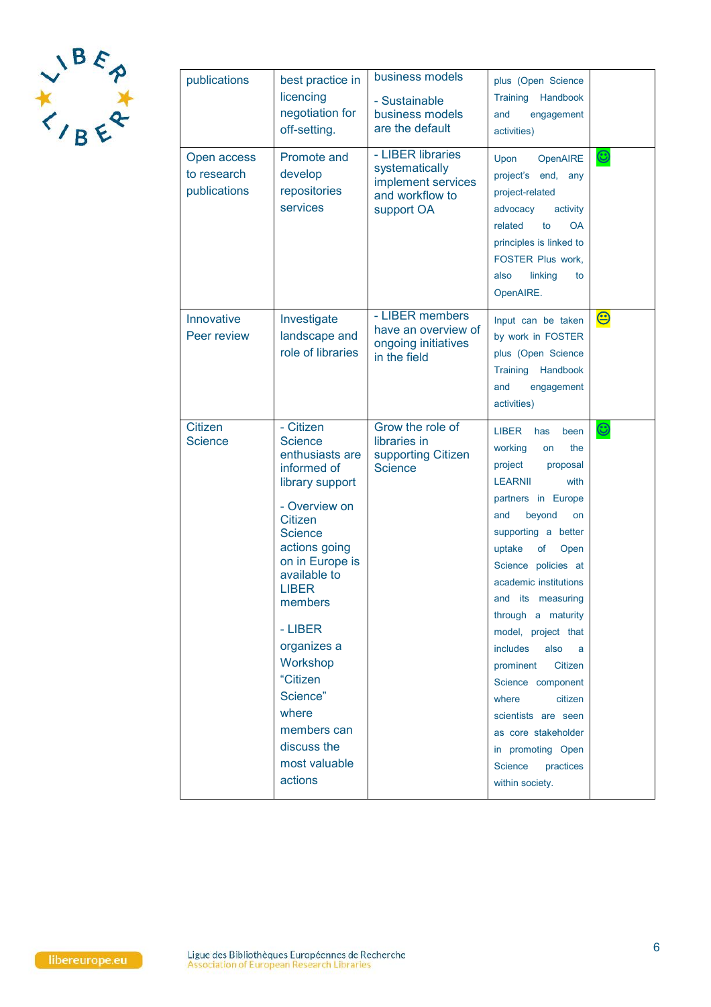

| publications                               | best practice in<br>licencing<br>negotiation for<br>off-setting.                                                                                                                                                                                                                                                                                      | business models<br>- Sustainable<br>business models<br>are the default                     | plus (Open Science<br>Training<br>Handbook<br>and<br>engagement<br>activities)                                                                                                                                                                                                                                                                                                                                                                                                                                             |                       |
|--------------------------------------------|-------------------------------------------------------------------------------------------------------------------------------------------------------------------------------------------------------------------------------------------------------------------------------------------------------------------------------------------------------|--------------------------------------------------------------------------------------------|----------------------------------------------------------------------------------------------------------------------------------------------------------------------------------------------------------------------------------------------------------------------------------------------------------------------------------------------------------------------------------------------------------------------------------------------------------------------------------------------------------------------------|-----------------------|
| Open access<br>to research<br>publications | Promote and<br>develop<br>repositories<br>services                                                                                                                                                                                                                                                                                                    | - LIBER libraries<br>systematically<br>implement services<br>and workflow to<br>support OA | OpenAIRE<br>Upon<br>project's end,<br>any<br>project-related<br>advocacy<br>activity<br>related<br>to<br><b>OA</b><br>principles is linked to<br>FOSTER Plus work,<br>linking<br>also<br>to<br>OpenAIRE.                                                                                                                                                                                                                                                                                                                   | $\bm{\odot}$          |
| Innovative<br>Peer review                  | Investigate<br>landscape and<br>role of libraries                                                                                                                                                                                                                                                                                                     | - LIBER members<br>have an overview of<br>ongoing initiatives<br>in the field              | Input can be taken<br>by work in FOSTER<br>plus (Open Science<br>Training Handbook<br>engagement<br>and<br>activities)                                                                                                                                                                                                                                                                                                                                                                                                     | $\bm{\Theta}$         |
| <b>Citizen</b><br><b>Science</b>           | - Citizen<br><b>Science</b><br>enthusiasts are<br>informed of<br>library support<br>- Overview on<br><b>Citizen</b><br><b>Science</b><br>actions going<br>on in Europe is<br>available to<br><b>LIBER</b><br>members<br>- LIBER<br>organizes a<br>Workshop<br>"Citizen<br>Science"<br>where<br>members can<br>discuss the<br>most valuable<br>actions | Grow the role of<br>libraries in<br>supporting Citizen<br><b>Science</b>                   | <b>LIBER</b><br>been<br>has<br>working<br>the<br>on<br>project<br>proposal<br><b>LEARNII</b><br>with<br>partners in Europe<br>beyond<br>and<br>on<br>supporting a better<br>uptake<br>of<br>Open<br>Science policies at<br>academic institutions<br>and its measuring<br>through a maturity<br>model, project that<br>includes<br>also<br>a<br>prominent<br>Citizen<br>Science component<br>citizen<br>where<br>scientists are seen<br>as core stakeholder<br>in promoting Open<br>Science<br>practices<br>within society. | $\bm{\mathbb{\odot}}$ |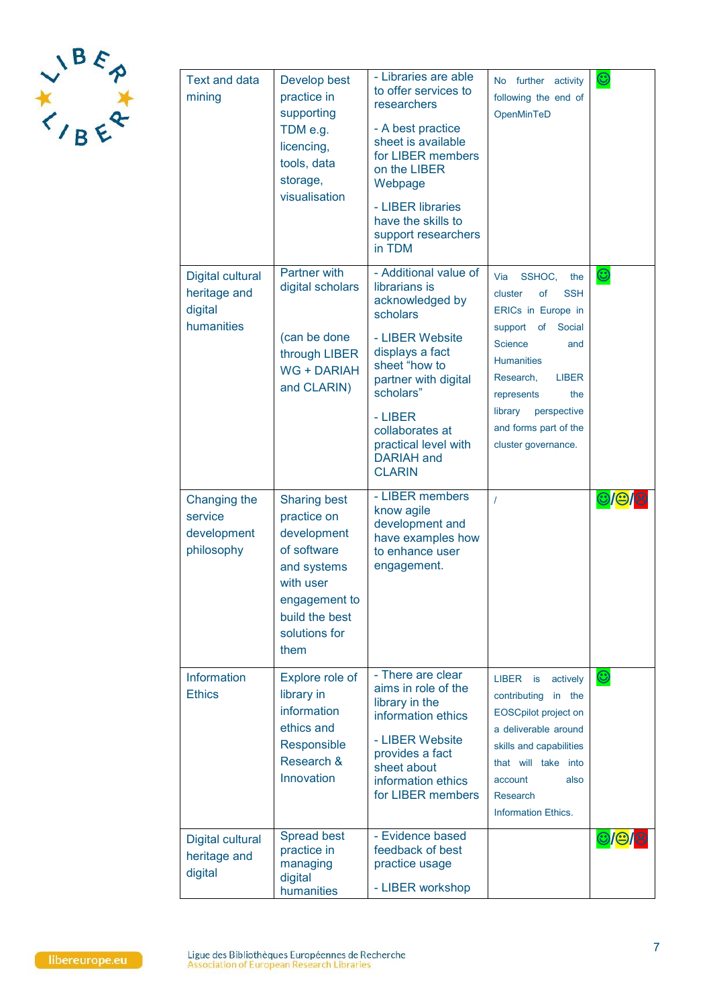

| Text and data<br>mining                                   | Develop best<br>practice in<br>supporting<br>TDM e.g.<br>licencing,<br>tools, data<br>storage,<br>visualisation                                          | - Libraries are able<br>to offer services to<br>researchers<br>- A best practice<br>sheet is available<br>for LIBER members<br>on the LIBER<br>Webpage<br>- LIBER libraries<br>have the skills to<br>support researchers<br>in TDM                            | No further activity<br>following the end of<br>OpenMinTeD                                                                                                                                                                                                                   | $\bm{\mathbb{O}}$                    |
|-----------------------------------------------------------|----------------------------------------------------------------------------------------------------------------------------------------------------------|---------------------------------------------------------------------------------------------------------------------------------------------------------------------------------------------------------------------------------------------------------------|-----------------------------------------------------------------------------------------------------------------------------------------------------------------------------------------------------------------------------------------------------------------------------|--------------------------------------|
| Digital cultural<br>heritage and<br>digital<br>humanities | Partner with<br>digital scholars<br>(can be done<br>through LIBER<br><b>WG + DARIAH</b><br>and CLARIN)                                                   | - Additional value of<br>librarians is<br>acknowledged by<br>scholars<br>- LIBER Website<br>displays a fact<br>sheet "how to<br>partner with digital<br>scholars"<br>- LIBER<br>collaborates at<br>practical level with<br><b>DARIAH</b> and<br><b>CLARIN</b> | Via<br>SSHOC,<br>the<br><b>SSH</b><br>cluster<br>of<br>ERICs in Europe in<br>support of<br>Social<br><b>Science</b><br>and<br><b>Humanities</b><br>Research,<br><b>LIBER</b><br>represents<br>the<br>library<br>perspective<br>and forms part of the<br>cluster governance. | $\bm{\mathbb{C}}$                    |
| Changing the<br>service<br>development<br>philosophy      | <b>Sharing best</b><br>practice on<br>development<br>of software<br>and systems<br>with user<br>engagement to<br>build the best<br>solutions for<br>them | - LIBER members<br>know agile<br>development and<br>have examples how<br>to enhance user<br>engagement.                                                                                                                                                       | $\prime$                                                                                                                                                                                                                                                                    | $\bigcirc$ $\bigcirc$ $\bigcirc$     |
| Information<br><b>Ethics</b>                              | Explore role of<br>library in<br>information<br>ethics and<br>Responsible<br>Research &<br>Innovation                                                    | - There are clear<br>aims in role of the<br>library in the<br>information ethics<br>- LIBER Website<br>provides a fact<br>sheet about<br>information ethics<br>for LIBER members                                                                              | LIBER is<br>actively<br>contributing<br>in the<br><b>EOSCpilot project on</b><br>a deliverable around<br>skills and capabilities<br>that will take into<br>account<br>also<br><b>Research</b><br><b>Information Ethics.</b>                                                 | $\bm{\mathbb{C}}$                    |
| Digital cultural<br>heritage and<br>digital               | Spread best<br>practice in<br>managing<br>digital<br>humanities                                                                                          | - Evidence based<br>feedback of best<br>practice usage<br>- LIBER workshop                                                                                                                                                                                    |                                                                                                                                                                                                                                                                             | $\bigcirc$ / $\bigcirc$ / $\bigcirc$ |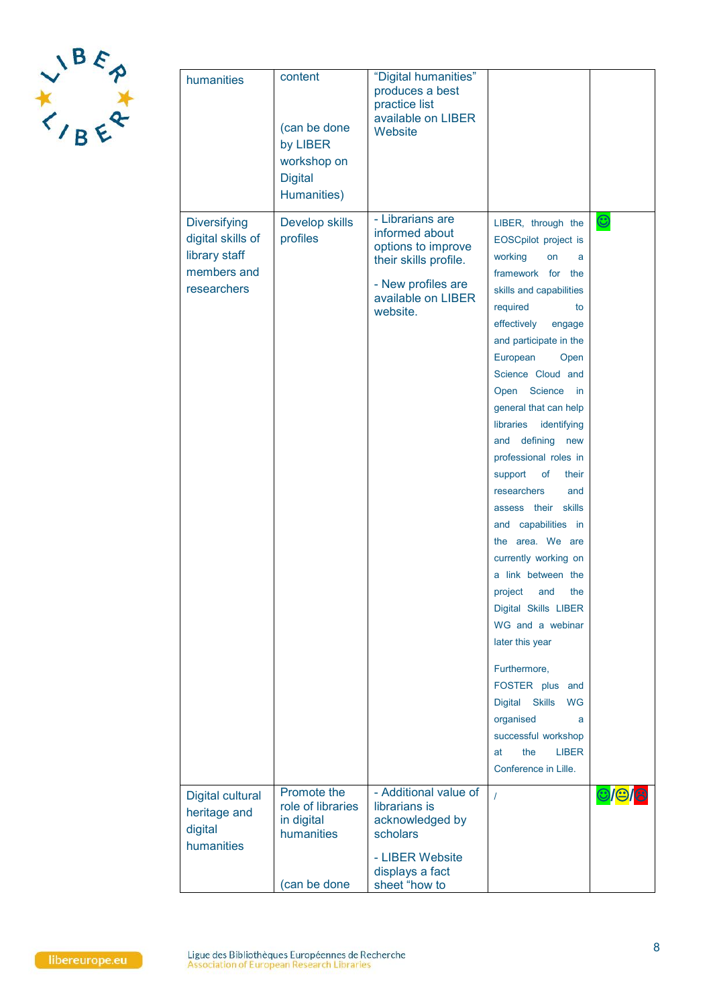

| humanities                                                                              | content<br>(can be done<br>by LIBER<br>workshop on<br><b>Digital</b><br>Humanities) | "Digital humanities"<br>produces a best<br>practice list<br>available on LIBER<br>Website                                                 |                                                                                                                                                                                                                                                                                                                                                                                                                                                                                                                                                                                                                                                                                                                                                                                      |                                   |
|-----------------------------------------------------------------------------------------|-------------------------------------------------------------------------------------|-------------------------------------------------------------------------------------------------------------------------------------------|--------------------------------------------------------------------------------------------------------------------------------------------------------------------------------------------------------------------------------------------------------------------------------------------------------------------------------------------------------------------------------------------------------------------------------------------------------------------------------------------------------------------------------------------------------------------------------------------------------------------------------------------------------------------------------------------------------------------------------------------------------------------------------------|-----------------------------------|
| <b>Diversifying</b><br>digital skills of<br>library staff<br>members and<br>researchers | Develop skills<br>profiles                                                          | - Librarians are<br>informed about<br>options to improve<br>their skills profile.<br>- New profiles are<br>available on LIBER<br>website. | LIBER, through the<br>EOSCpilot project is<br>working<br>on<br>a<br>framework for the<br>skills and capabilities<br>required<br>to<br>effectively<br>engage<br>and participate in the<br>European<br>Open<br>Science Cloud and<br>Science<br>Open<br>in<br>general that can help<br>identifying<br>libraries<br>and defining<br>new<br>professional roles in<br>of<br>support<br>their<br>researchers<br>and<br>assess their skills<br>and capabilities in<br>the area. We are<br>currently working on<br>a link between the<br>project<br>the<br>and<br>Digital Skills LIBER<br>WG and a webinar<br>later this year<br>Furthermore,<br>FOSTER plus and<br>Digital Skills<br><b>WG</b><br>organised<br>a<br>successful workshop<br>the<br><b>LIBER</b><br>at<br>Conference in Lille. | $\odot$                           |
| Digital cultural<br>heritage and<br>digital<br>humanities                               | Promote the<br>role of libraries<br>in digital<br>humanities<br>(can be done        | - Additional value of<br>librarians is<br>acknowledged by<br>scholars<br>- LIBER Website<br>displays a fact<br>sheet "how to              | $\overline{I}$                                                                                                                                                                                                                                                                                                                                                                                                                                                                                                                                                                                                                                                                                                                                                                       | $  \mathbb{C}  $ ප $  \mathbb{C}$ |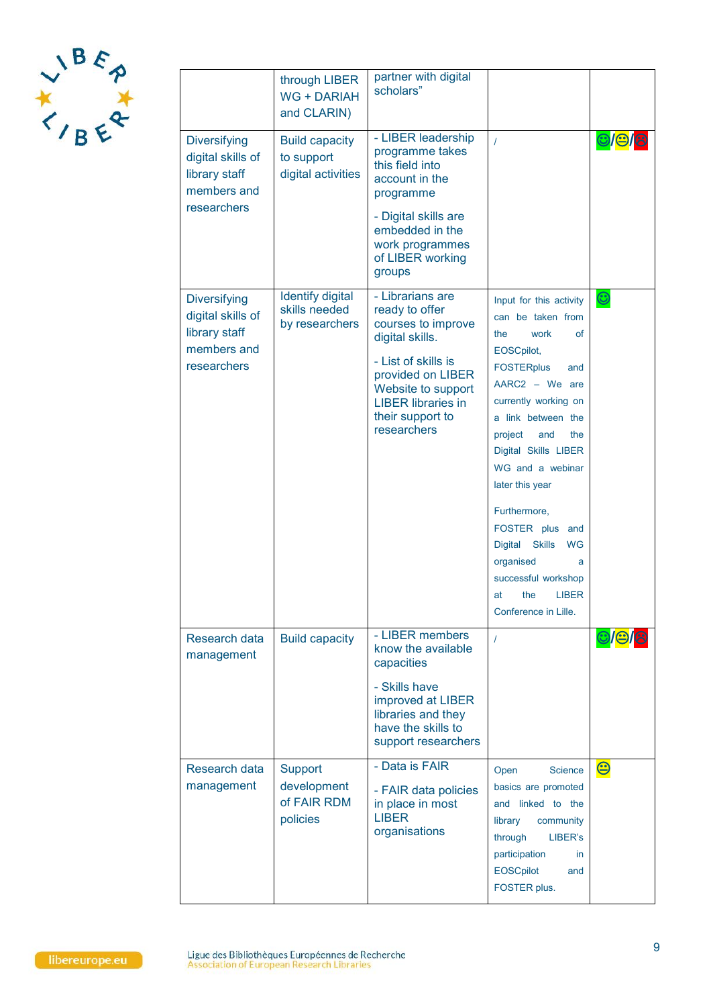

|                                                                                         | through LIBER<br><b>WG + DARIAH</b><br>and CLARIN)         | partner with digital<br>scholars"                                                                                                                                                                             |                                                                                                                                                                                                                                                                                                                                                                                                                                            |                       |
|-----------------------------------------------------------------------------------------|------------------------------------------------------------|---------------------------------------------------------------------------------------------------------------------------------------------------------------------------------------------------------------|--------------------------------------------------------------------------------------------------------------------------------------------------------------------------------------------------------------------------------------------------------------------------------------------------------------------------------------------------------------------------------------------------------------------------------------------|-----------------------|
| <b>Diversifying</b><br>digital skills of<br>library staff<br>members and<br>researchers | <b>Build capacity</b><br>to support<br>digital activities  | - LIBER leadership<br>programme takes<br>this field into<br>account in the<br>programme<br>- Digital skills are<br>embedded in the<br>work programmes<br>of LIBER working<br>groups                           | $\overline{1}$                                                                                                                                                                                                                                                                                                                                                                                                                             | <u> ଆକା</u>           |
| <b>Diversifying</b><br>digital skills of<br>library staff<br>members and<br>researchers | <b>Identify digital</b><br>skills needed<br>by researchers | - Librarians are<br>ready to offer<br>courses to improve<br>digital skills.<br>- List of skills is<br>provided on LIBER<br>Website to support<br><b>LIBER libraries in</b><br>their support to<br>researchers | Input for this activity<br>can be taken from<br><b>of</b><br>the<br>work<br>EOSCpilot,<br><b>FOSTERplus</b><br>and<br>AARC2 - We are<br>currently working on<br>a link between the<br>the<br>project<br>and<br>Digital Skills LIBER<br>WG and a webinar<br>later this year<br>Furthermore,<br>FOSTER plus and<br>Digital Skills<br><b>WG</b><br>organised<br>a<br>successful workshop<br><b>LIBER</b><br>at<br>the<br>Conference in Lille. | $\mathbf{\copyright}$ |
| Research data<br>management                                                             | <b>Build capacity</b>                                      | - LIBER members<br>know the available<br>capacities<br>- Skills have<br>improved at LIBER<br>libraries and they<br>have the skills to<br>support researchers                                                  | $\prime$                                                                                                                                                                                                                                                                                                                                                                                                                                   |                       |
| Research data<br>management                                                             | <b>Support</b><br>development<br>of FAIR RDM<br>policies   | - Data is FAIR<br>- FAIR data policies<br>in place in most<br><b>LIBER</b><br>organisations                                                                                                                   | <b>Science</b><br>Open<br>basics are promoted<br>and linked to the<br>community<br>library<br>through<br>LIBER's<br>participation<br>in.<br><b>EOSCpilot</b><br>and<br>FOSTER plus.                                                                                                                                                                                                                                                        | $\bm{\Theta}$         |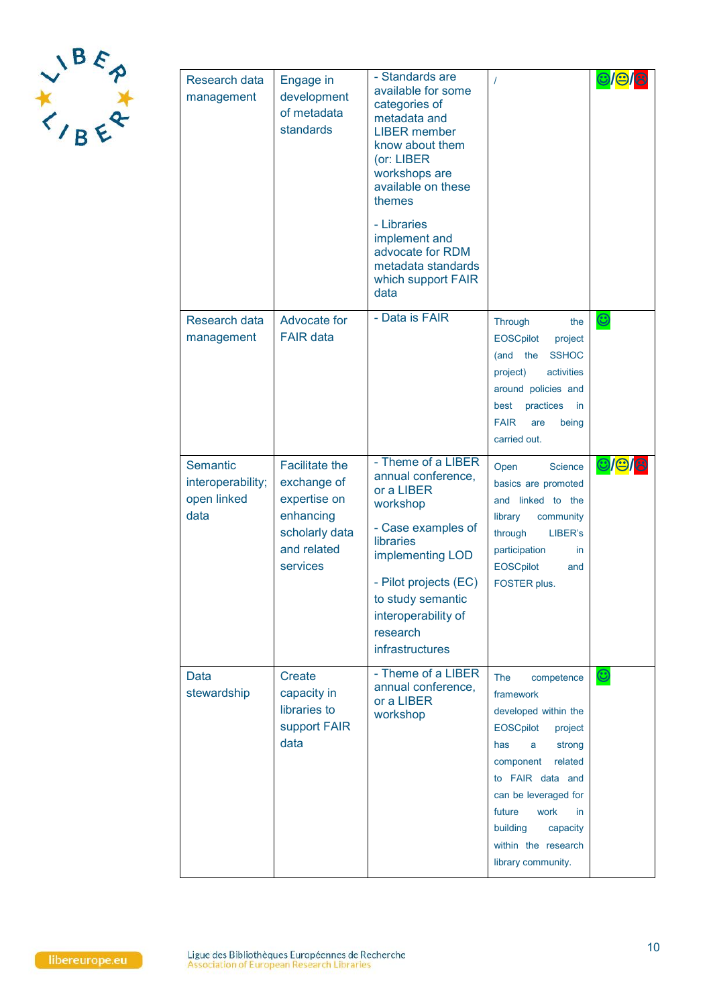

| Research data<br>management                          | Engage in<br>development<br>of metadata<br>standards                                                           | - Standards are<br>available for some<br>categories of<br>metadata and<br><b>LIBER</b> member<br>know about them<br>(or: LIBER<br>workshops are<br>available on these<br>themes<br>- Libraries<br>implement and<br>advocate for RDM<br>metadata standards<br>which support FAIR<br>data | $\prime$                                                                                                                                                                                                                                                               |                   |
|------------------------------------------------------|----------------------------------------------------------------------------------------------------------------|-----------------------------------------------------------------------------------------------------------------------------------------------------------------------------------------------------------------------------------------------------------------------------------------|------------------------------------------------------------------------------------------------------------------------------------------------------------------------------------------------------------------------------------------------------------------------|-------------------|
| Research data<br>management                          | Advocate for<br><b>FAIR data</b>                                                                               | - Data is FAIR                                                                                                                                                                                                                                                                          | Through<br>the<br>EOSCpilot<br>project<br><b>SSHOC</b><br>(and the<br>activities<br>project)<br>around policies and<br>best practices<br>in.<br><b>FAIR</b><br>being<br>are<br>carried out.                                                                            | $\bm{\mathbb{C}}$ |
| Semantic<br>interoperability;<br>open linked<br>data | <b>Facilitate the</b><br>exchange of<br>expertise on<br>enhancing<br>scholarly data<br>and related<br>services | - Theme of a LIBER<br>annual conference,<br>or a LIBER<br>workshop<br>- Case examples of<br>libraries<br>implementing LOD<br>- Pilot projects (EC)<br>to study semantic<br>interoperability of<br>research<br>infrastructures                                                           | Open<br>Science<br>basics are promoted<br>and linked to the<br>library<br>community<br>through<br>LIBER's<br>participation<br>in.<br><b>EOSCpilot</b><br>and<br>FOSTER plus.                                                                                           | ©/©/8             |
| Data<br>stewardship                                  | Create<br>capacity in<br>libraries to<br>support FAIR<br>data                                                  | - Theme of a LIBER<br>annual conference,<br>or a LIBER<br>workshop                                                                                                                                                                                                                      | The<br>competence<br>framework<br>developed within the<br>EOSCpilot<br>project<br>has<br>strong<br>a<br>component<br>related<br>to FAIR data and<br>can be leveraged for<br>future<br>work<br>in.<br>building<br>capacity<br>within the research<br>library community. | $\bm{\mathbb{O}}$ |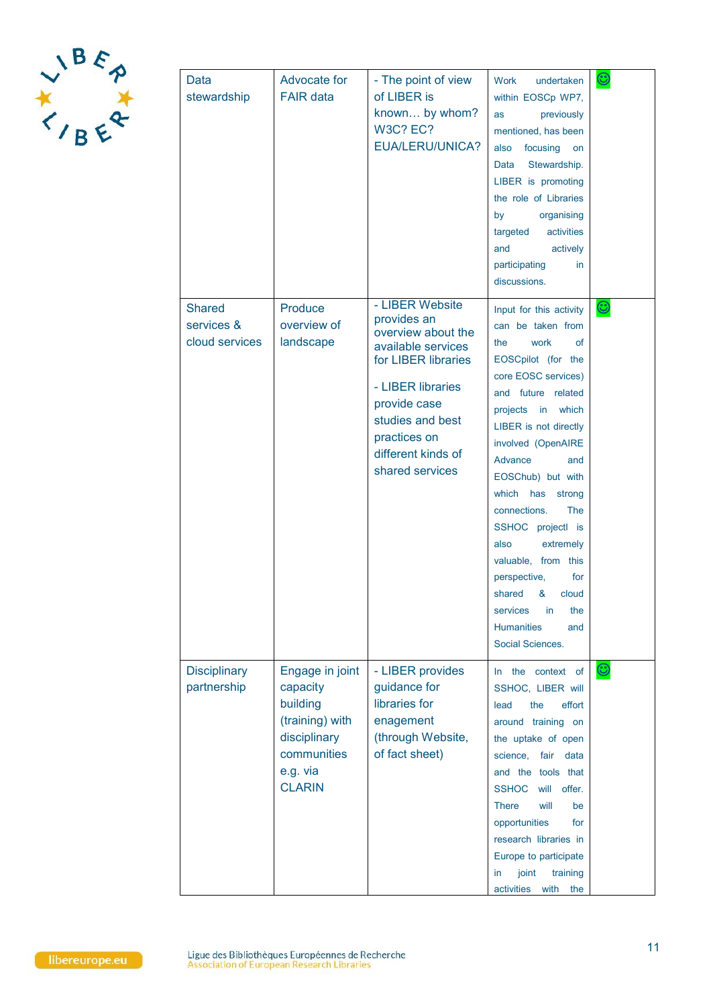

| Data<br>stewardship                           | Advocate for<br><b>FAIR data</b>                                                                                       | - The point of view<br>of LIBER is<br>known by whom?<br><b>W3C? EC?</b><br><b>EUA/LERU/UNICA?</b>                                                                                                                   | <b>Work</b><br>undertaken<br>within EOSCp WP7,<br>previously<br>as<br>mentioned, has been<br>focusing<br>also<br>on<br>Stewardship.<br>Data<br>LIBER is promoting<br>the role of Libraries<br>by<br>organising<br>targeted<br>activities<br>and<br>actively<br>participating<br>in.<br>discussions.                                                                                                                                                                              | $\mathbb{C}$      |
|-----------------------------------------------|------------------------------------------------------------------------------------------------------------------------|---------------------------------------------------------------------------------------------------------------------------------------------------------------------------------------------------------------------|----------------------------------------------------------------------------------------------------------------------------------------------------------------------------------------------------------------------------------------------------------------------------------------------------------------------------------------------------------------------------------------------------------------------------------------------------------------------------------|-------------------|
| <b>Shared</b><br>services &<br>cloud services | Produce<br>overview of<br>landscape                                                                                    | - LIBER Website<br>provides an<br>overview about the<br>available services<br>for LIBER libraries<br>- LIBER libraries<br>provide case<br>studies and best<br>practices on<br>different kinds of<br>shared services | Input for this activity<br>can be taken from<br>work<br>the<br>οf<br>EOSCpilot (for the<br>core EOSC services)<br>and future related<br>projects in which<br>LIBER is not directly<br>involved (OpenAIRE<br>Advance<br>and<br>EOSChub) but with<br>which has<br>strong<br>connections.<br>The<br>SSHOC projectl is<br>extremely<br>also<br>valuable, from this<br>perspective,<br>for<br>shared & cloud<br>in<br>the<br>services<br><b>Humanities</b><br>and<br>Social Sciences. | $\bm{\mathbb{C}}$ |
| <b>Disciplinary</b><br>partnership            | Engage in joint<br>capacity<br>building<br>(training) with<br>disciplinary<br>communities<br>e.g. via<br><b>CLARIN</b> | - LIBER provides<br>guidance for<br>libraries for<br>enagement<br>(through Website,<br>of fact sheet)                                                                                                               | In the context of<br>SSHOC, LIBER will<br>effort<br>lead<br>the<br>around training on<br>the uptake of open<br>science, fair<br>data<br>and the tools that<br><b>SSHOC</b><br>will offer.<br><b>There</b><br>will<br>be<br>opportunities<br>for<br>research libraries in<br>Europe to participate<br>joint<br>training<br>in<br>activities<br>with<br>the                                                                                                                        | $\bm{\mathbb{C}}$ |